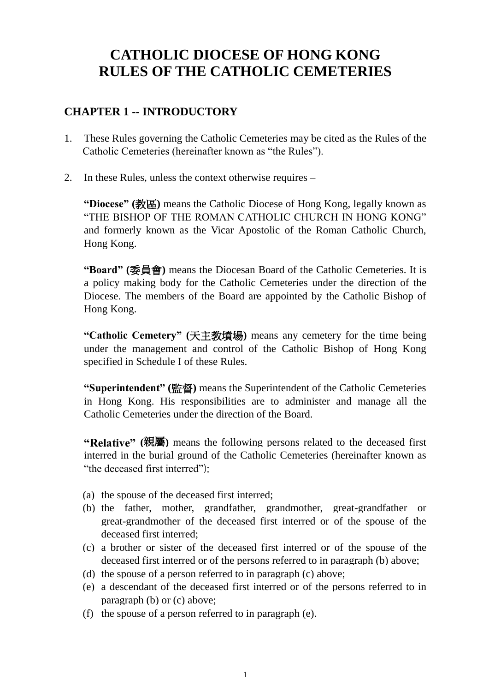# **CATHOLIC DIOCESE OF HONG KONG RULES OF THE CATHOLIC CEMETERIES**

# **CHAPTER 1 -- INTRODUCTORY**

- 1. These Rules governing the Catholic Cemeteries may be cited as the Rules of the Catholic Cemeteries (hereinafter known as "the Rules").
- 2. In these Rules, unless the context otherwise requires –

**"Diocese" (**教區**)** means the Catholic Diocese of Hong Kong, legally known as "THE BISHOP OF THE ROMAN CATHOLIC CHURCH IN HONG KONG" and formerly known as the Vicar Apostolic of the Roman Catholic Church, Hong Kong.

**"Board" (**委員會**)** means the Diocesan Board of the Catholic Cemeteries. It is a policy making body for the Catholic Cemeteries under the direction of the Diocese. The members of the Board are appointed by the Catholic Bishop of Hong Kong.

**"Catholic Cemetery" (**天主教墳場**)** means any cemetery for the time being under the management and control of the Catholic Bishop of Hong Kong specified in Schedule I of these Rules.

**"Superintendent" (**監督**)** means the Superintendent of the Catholic Cemeteries in Hong Kong. His responsibilities are to administer and manage all the Catholic Cemeteries under the direction of the Board.

**"Relative" (**親屬**)** means the following persons related to the deceased first interred in the burial ground of the Catholic Cemeteries (hereinafter known as "the deceased first interred").

- (a) the spouse of the deceased first interred;
- (b) the father, mother, grandfather, grandmother, great-grandfather or great-grandmother of the deceased first interred or of the spouse of the deceased first interred;
- (c) a brother or sister of the deceased first interred or of the spouse of the deceased first interred or of the persons referred to in paragraph (b) above;
- (d) the spouse of a person referred to in paragraph (c) above;
- (e) a descendant of the deceased first interred or of the persons referred to in paragraph (b) or (c) above;
- (f) the spouse of a person referred to in paragraph (e).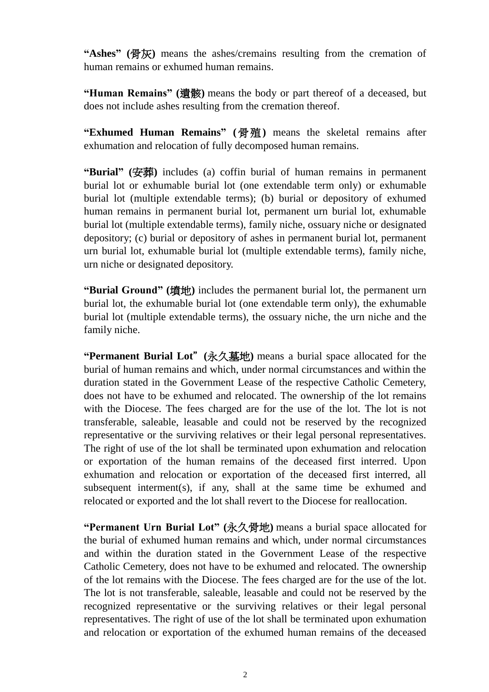**"Ashes" (**骨灰**)** means the ashes/cremains resulting from the cremation of human remains or exhumed human remains.

**"Human Remains" (**遺骸**)** means the body or part thereof of a deceased, but does not include ashes resulting from the cremation thereof.

**"Exhumed Human Remains" (**骨殖**)** means the skeletal remains after exhumation and relocation of fully decomposed human remains.

**"Burial" (**安葬**)** includes (a) coffin burial of human remains in permanent burial lot or exhumable burial lot (one extendable term only) or exhumable burial lot (multiple extendable terms); (b) burial or depository of exhumed human remains in permanent burial lot, permanent urn burial lot, exhumable burial lot (multiple extendable terms), family niche, ossuary niche or designated depository; (c) burial or depository of ashes in permanent burial lot, permanent urn burial lot, exhumable burial lot (multiple extendable terms), family niche, urn niche or designated depository.

**"Burial Ground" (**墳地**)** includes the permanent burial lot, the permanent urn burial lot, the exhumable burial lot (one extendable term only), the exhumable burial lot (multiple extendable terms), the ossuary niche, the urn niche and the family niche.

**"Permanent Burial Lot**"**(**永久墓地**)** means a burial space allocated for the burial of human remains and which, under normal circumstances and within the duration stated in the Government Lease of the respective Catholic Cemetery, does not have to be exhumed and relocated. The ownership of the lot remains with the Diocese. The fees charged are for the use of the lot. The lot is not transferable, saleable, leasable and could not be reserved by the recognized representative or the surviving relatives or their legal personal representatives. The right of use of the lot shall be terminated upon exhumation and relocation or exportation of the human remains of the deceased first interred. Upon exhumation and relocation or exportation of the deceased first interred, all subsequent interment(s), if any, shall at the same time be exhumed and relocated or exported and the lot shall revert to the Diocese for reallocation.

**"Permanent Urn Burial Lot" (**永久骨地**)** means a burial space allocated for the burial of exhumed human remains and which, under normal circumstances and within the duration stated in the Government Lease of the respective Catholic Cemetery, does not have to be exhumed and relocated. The ownership of the lot remains with the Diocese. The fees charged are for the use of the lot. The lot is not transferable, saleable, leasable and could not be reserved by the recognized representative or the surviving relatives or their legal personal representatives. The right of use of the lot shall be terminated upon exhumation and relocation or exportation of the exhumed human remains of the deceased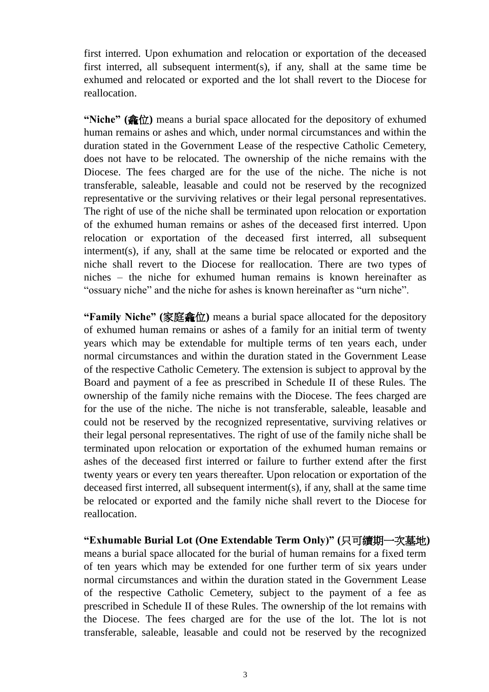first interred. Upon exhumation and relocation or exportation of the deceased first interred, all subsequent interment(s), if any, shall at the same time be exhumed and relocated or exported and the lot shall revert to the Diocese for reallocation.

**"Niche" (龕位)** means a burial space allocated for the depository of exhumed human remains or ashes and which, under normal circumstances and within the duration stated in the Government Lease of the respective Catholic Cemetery, does not have to be relocated. The ownership of the niche remains with the Diocese. The fees charged are for the use of the niche. The niche is not transferable, saleable, leasable and could not be reserved by the recognized representative or the surviving relatives or their legal personal representatives. The right of use of the niche shall be terminated upon relocation or exportation of the exhumed human remains or ashes of the deceased first interred. Upon relocation or exportation of the deceased first interred, all subsequent interment(s), if any, shall at the same time be relocated or exported and the niche shall revert to the Diocese for reallocation. There are two types of niches – the niche for exhumed human remains is known hereinafter as "ossuary niche" and the niche for ashes is known hereinafter as "urn niche".

**"Family Niche" (**家庭龕位**)** means a burial space allocated for the depository of exhumed human remains or ashes of a family for an initial term of twenty years which may be extendable for multiple terms of ten years each, under normal circumstances and within the duration stated in the Government Lease of the respective Catholic Cemetery. The extension is subject to approval by the Board and payment of a fee as prescribed in Schedule II of these Rules. The ownership of the family niche remains with the Diocese. The fees charged are for the use of the niche. The niche is not transferable, saleable, leasable and could not be reserved by the recognized representative, surviving relatives or their legal personal representatives. The right of use of the family niche shall be terminated upon relocation or exportation of the exhumed human remains or ashes of the deceased first interred or failure to further extend after the first twenty years or every ten years thereafter. Upon relocation or exportation of the deceased first interred, all subsequent interment(s), if any, shall at the same time be relocated or exported and the family niche shall revert to the Diocese for reallocation.

**"Exhumable Burial Lot (One Extendable Term Only)" (**只可續期一次墓地**)**  means a burial space allocated for the burial of human remains for a fixed term of ten years which may be extended for one further term of six years under normal circumstances and within the duration stated in the Government Lease of the respective Catholic Cemetery, subject to the payment of a fee as prescribed in Schedule II of these Rules. The ownership of the lot remains with the Diocese. The fees charged are for the use of the lot. The lot is not transferable, saleable, leasable and could not be reserved by the recognized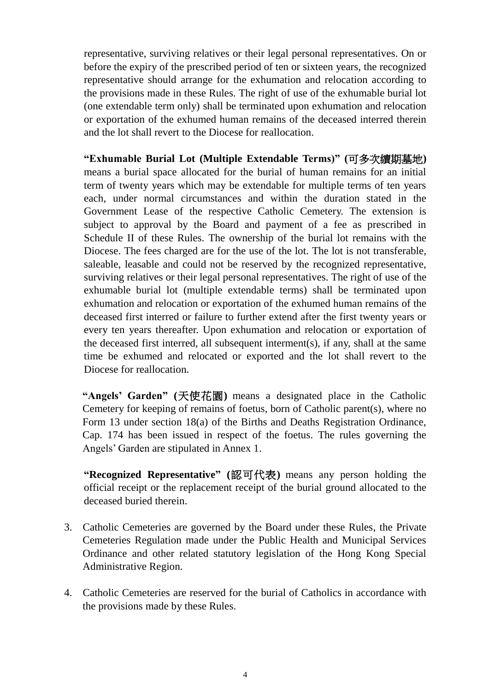representative, surviving relatives or their legal personal representatives. On or before the expiry of the prescribed period of ten or sixteen years, the recognized representative should arrange for the exhumation and relocation according to the provisions made in these Rules. The right of use of the exhumable burial lot (one extendable term only) shall be terminated upon exhumation and relocation or exportation of the exhumed human remains of the deceased interred therein and the lot shall revert to the Diocese for reallocation.

**"Exhumable Burial Lot (Multiple Extendable Terms)" (**可多次續期墓地**)** means a burial space allocated for the burial of human remains for an initial term of twenty years which may be extendable for multiple terms of ten years each, under normal circumstances and within the duration stated in the Government Lease of the respective Catholic Cemetery. The extension is subject to approval by the Board and payment of a fee as prescribed in Schedule II of these Rules. The ownership of the burial lot remains with the Diocese. The fees charged are for the use of the lot. The lot is not transferable, saleable, leasable and could not be reserved by the recognized representative, surviving relatives or their legal personal representatives. The right of use of the exhumable burial lot (multiple extendable terms) shall be terminated upon exhumation and relocation or exportation of the exhumed human remains of the deceased first interred or failure to further extend after the first twenty years or every ten years thereafter. Upon exhumation and relocation or exportation of the deceased first interred, all subsequent interment(s), if any, shall at the same time be exhumed and relocated or exported and the lot shall revert to the Diocese for reallocation.

**"Angels' Garden" (**天使花園**)** means a designated place in the Catholic Cemetery for keeping of remains of foetus, born of Catholic parent(s), where no Form 13 under section 18(a) of the Births and Deaths Registration Ordinance, Cap. 174 has been issued in respect of the foetus. The rules governing the Angels' Garden are stipulated in Annex 1.

**"Recognized Representative" (**認可代表**)** means any person holding the official receipt or the replacement receipt of the burial ground allocated to the deceased buried therein.

- 3. Catholic Cemeteries are governed by the Board under these Rules, the Private Cemeteries Regulation made under the Public Health and Municipal Services Ordinance and other related statutory legislation of the Hong Kong Special Administrative Region.
- 4. Catholic Cemeteries are reserved for the burial of Catholics in accordance with the provisions made by these Rules.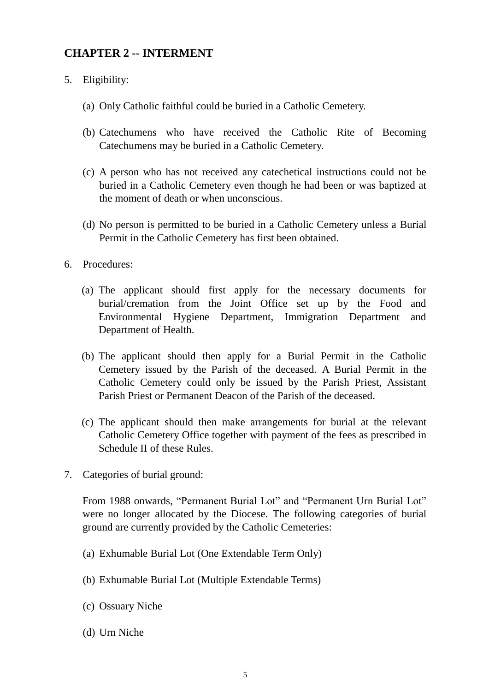# **CHAPTER 2 -- INTERMENT**

- 5. Eligibility:
	- (a) Only Catholic faithful could be buried in a Catholic Cemetery.
	- (b) Catechumens who have received the Catholic Rite of Becoming Catechumens may be buried in a Catholic Cemetery.
	- (c) A person who has not received any catechetical instructions could not be buried in a Catholic Cemetery even though he had been or was baptized at the moment of death or when unconscious.
	- (d) No person is permitted to be buried in a Catholic Cemetery unless a Burial Permit in the Catholic Cemetery has first been obtained.
- 6. Procedures:
	- (a) The applicant should first apply for the necessary documents for burial/cremation from the Joint Office set up by the Food and Environmental Hygiene Department, Immigration Department and Department of Health.
	- (b) The applicant should then apply for a Burial Permit in the Catholic Cemetery issued by the Parish of the deceased. A Burial Permit in the Catholic Cemetery could only be issued by the Parish Priest, Assistant Parish Priest or Permanent Deacon of the Parish of the deceased.
	- (c) The applicant should then make arrangements for burial at the relevant Catholic Cemetery Office together with payment of the fees as prescribed in Schedule II of these Rules.
- 7. Categories of burial ground:

From 1988 onwards, "Permanent Burial Lot" and "Permanent Urn Burial Lot" were no longer allocated by the Diocese. The following categories of burial ground are currently provided by the Catholic Cemeteries:

- (a) Exhumable Burial Lot (One Extendable Term Only)
- (b) Exhumable Burial Lot (Multiple Extendable Terms)
- (c) Ossuary Niche
- (d) Urn Niche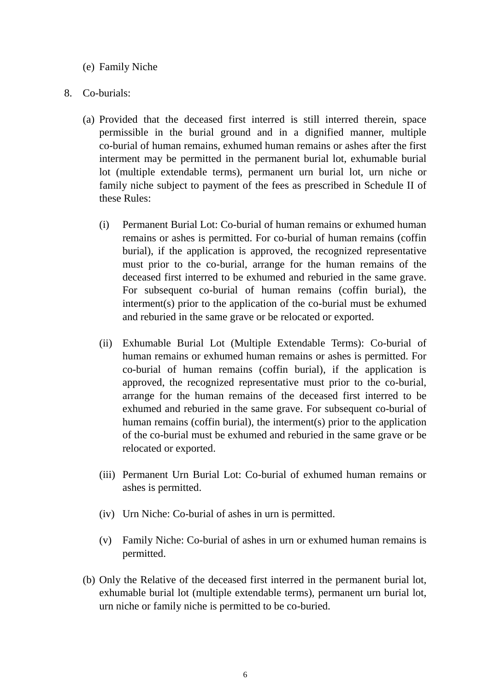#### (e) Family Niche

#### 8. Co-burials:

- (a) Provided that the deceased first interred is still interred therein, space permissible in the burial ground and in a dignified manner, multiple co-burial of human remains, exhumed human remains or ashes after the first interment may be permitted in the permanent burial lot, exhumable burial lot (multiple extendable terms), permanent urn burial lot, urn niche or family niche subject to payment of the fees as prescribed in Schedule II of these Rules:
	- (i) Permanent Burial Lot: Co-burial of human remains or exhumed human remains or ashes is permitted. For co-burial of human remains (coffin burial), if the application is approved, the recognized representative must prior to the co-burial, arrange for the human remains of the deceased first interred to be exhumed and reburied in the same grave. For subsequent co-burial of human remains (coffin burial), the interment(s) prior to the application of the co-burial must be exhumed and reburied in the same grave or be relocated or exported.
	- (ii) Exhumable Burial Lot (Multiple Extendable Terms): Co-burial of human remains or exhumed human remains or ashes is permitted. For co-burial of human remains (coffin burial), if the application is approved, the recognized representative must prior to the co-burial, arrange for the human remains of the deceased first interred to be exhumed and reburied in the same grave. For subsequent co-burial of human remains (coffin burial), the interment(s) prior to the application of the co-burial must be exhumed and reburied in the same grave or be relocated or exported.
	- (iii) Permanent Urn Burial Lot: Co-burial of exhumed human remains or ashes is permitted.
	- (iv) Urn Niche: Co-burial of ashes in urn is permitted.
	- (v) Family Niche: Co-burial of ashes in urn or exhumed human remains is permitted.
- (b) Only the Relative of the deceased first interred in the permanent burial lot, exhumable burial lot (multiple extendable terms), permanent urn burial lot, urn niche or family niche is permitted to be co-buried.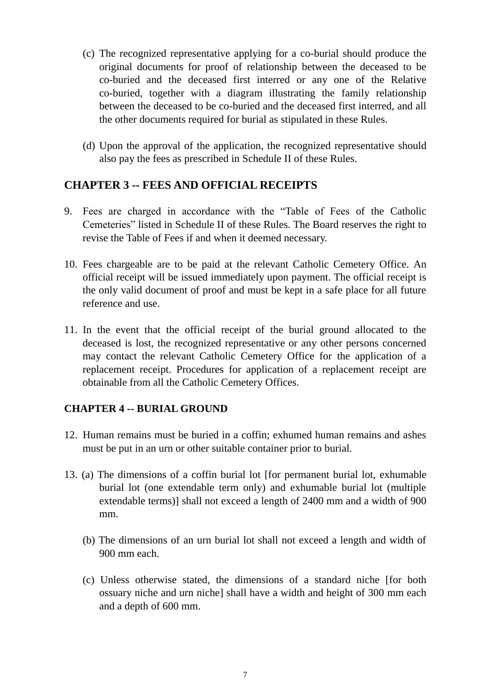- (c) The recognized representative applying for a co-burial should produce the original documents for proof of relationship between the deceased to be co-buried and the deceased first interred or any one of the Relative co-buried, together with a diagram illustrating the family relationship between the deceased to be co-buried and the deceased first interred, and all the other documents required for burial as stipulated in these Rules.
- (d) Upon the approval of the application, the recognized representative should also pay the fees as prescribed in Schedule II of these Rules.

### **CHAPTER 3 -- FEES AND OFFICIAL RECEIPTS**

- 9. Fees are charged in accordance with the "Table of Fees of the Catholic Cemeteries" listed in Schedule II of these Rules. The Board reserves the right to revise the Table of Fees if and when it deemed necessary.
- 10. Fees chargeable are to be paid at the relevant Catholic Cemetery Office. An official receipt will be issued immediately upon payment. The official receipt is the only valid document of proof and must be kept in a safe place for all future reference and use.
- 11. In the event that the official receipt of the burial ground allocated to the deceased is lost, the recognized representative or any other persons concerned may contact the relevant Catholic Cemetery Office for the application of a replacement receipt. Procedures for application of a replacement receipt are obtainable from all the Catholic Cemetery Offices.

### **CHAPTER 4 -- BURIAL GROUND**

- 12. Human remains must be buried in a coffin; exhumed human remains and ashes must be put in an urn or other suitable container prior to burial.
- 13. (a) The dimensions of a coffin burial lot [for permanent burial lot, exhumable burial lot (one extendable term only) and exhumable burial lot (multiple extendable terms)] shall not exceed a length of 2400 mm and a width of 900 mm.
	- (b) The dimensions of an urn burial lot shall not exceed a length and width of 900 mm each.
	- (c) Unless otherwise stated, the dimensions of a standard niche [for both ossuary niche and urn niche] shall have a width and height of 300 mm each and a depth of 600 mm.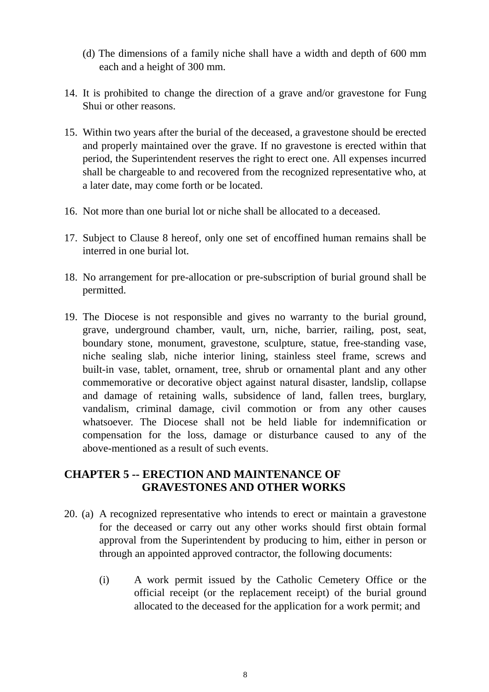- (d) The dimensions of a family niche shall have a width and depth of 600 mm each and a height of 300 mm.
- 14. It is prohibited to change the direction of a grave and/or gravestone for Fung Shui or other reasons.
- 15. Within two years after the burial of the deceased, a gravestone should be erected and properly maintained over the grave. If no gravestone is erected within that period, the Superintendent reserves the right to erect one. All expenses incurred shall be chargeable to and recovered from the recognized representative who, at a later date, may come forth or be located.
- 16. Not more than one burial lot or niche shall be allocated to a deceased.
- 17. Subject to Clause 8 hereof, only one set of encoffined human remains shall be interred in one burial lot.
- 18. No arrangement for pre-allocation or pre-subscription of burial ground shall be permitted.
- 19. The Diocese is not responsible and gives no warranty to the burial ground, grave, underground chamber, vault, urn, niche, barrier, railing, post, seat, boundary stone, monument, gravestone, sculpture, statue, free-standing vase, niche sealing slab, niche interior lining, stainless steel frame, screws and built-in vase, tablet, ornament, tree, shrub or ornamental plant and any other commemorative or decorative object against natural disaster, landslip, collapse and damage of retaining walls, subsidence of land, fallen trees, burglary, vandalism, criminal damage, civil commotion or from any other causes whatsoever. The Diocese shall not be held liable for indemnification or compensation for the loss, damage or disturbance caused to any of the above-mentioned as a result of such events.

#### **CHAPTER 5 -- ERECTION AND MAINTENANCE OF GRAVESTONES AND OTHER WORKS**

- 20. (a) A recognized representative who intends to erect or maintain a gravestone for the deceased or carry out any other works should first obtain formal approval from the Superintendent by producing to him, either in person or through an appointed approved contractor, the following documents:
	- (i) A work permit issued by the Catholic Cemetery Office or the official receipt (or the replacement receipt) of the burial ground allocated to the deceased for the application for a work permit; and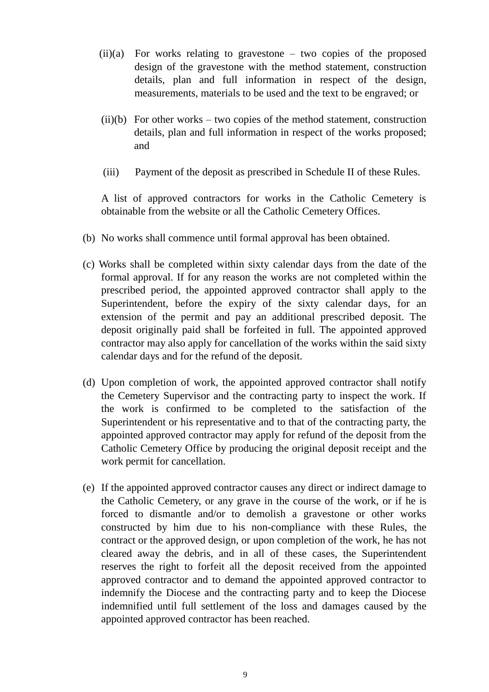- $(ii)(a)$  For works relating to gravestone two copies of the proposed design of the gravestone with the method statement, construction details, plan and full information in respect of the design, measurements, materials to be used and the text to be engraved; or
- $(ii)(b)$  For other works two copies of the method statement, construction details, plan and full information in respect of the works proposed; and
- (iii) Payment of the deposit as prescribed in Schedule II of these Rules.

A list of approved contractors for works in the Catholic Cemetery is obtainable from the website or all the Catholic Cemetery Offices.

- (b) No works shall commence until formal approval has been obtained.
- (c) Works shall be completed within sixty calendar days from the date of the formal approval. If for any reason the works are not completed within the prescribed period, the appointed approved contractor shall apply to the Superintendent, before the expiry of the sixty calendar days, for an extension of the permit and pay an additional prescribed deposit. The deposit originally paid shall be forfeited in full. The appointed approved contractor may also apply for cancellation of the works within the said sixty calendar days and for the refund of the deposit.
- (d) Upon completion of work, the appointed approved contractor shall notify the Cemetery Supervisor and the contracting party to inspect the work. If the work is confirmed to be completed to the satisfaction of the Superintendent or his representative and to that of the contracting party, the appointed approved contractor may apply for refund of the deposit from the Catholic Cemetery Office by producing the original deposit receipt and the work permit for cancellation.
- (e) If the appointed approved contractor causes any direct or indirect damage to the Catholic Cemetery, or any grave in the course of the work, or if he is forced to dismantle and/or to demolish a gravestone or other works constructed by him due to his non-compliance with these Rules, the contract or the approved design, or upon completion of the work, he has not cleared away the debris, and in all of these cases, the Superintendent reserves the right to forfeit all the deposit received from the appointed approved contractor and to demand the appointed approved contractor to indemnify the Diocese and the contracting party and to keep the Diocese indemnified until full settlement of the loss and damages caused by the appointed approved contractor has been reached.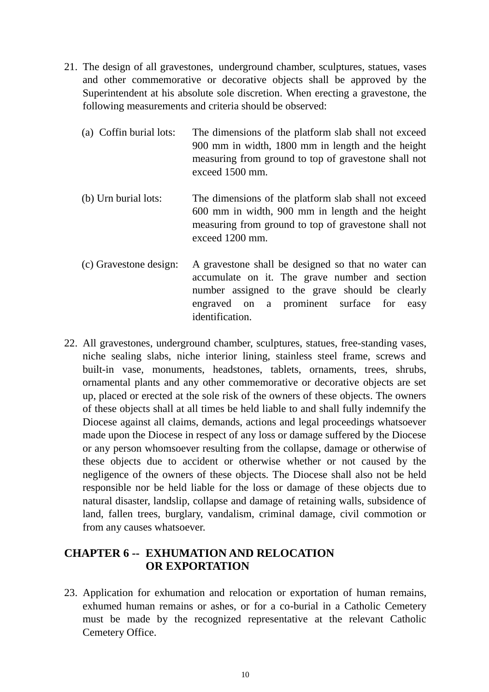- 21. The design of all gravestones, underground chamber, sculptures, statues, vases and other commemorative or decorative objects shall be approved by the Superintendent at his absolute sole discretion. When erecting a gravestone, the following measurements and criteria should be observed:
	- (a) Coffin burial lots: The dimensions of the platform slab shall not exceed 900 mm in width, 1800 mm in length and the height measuring from ground to top of gravestone shall not exceed 1500 mm.
	- (b) Urn burial lots: The dimensions of the platform slab shall not exceed 600 mm in width, 900 mm in length and the height measuring from ground to top of gravestone shall not exceed 1200 mm.
	- (c) Gravestone design: A gravestone shall be designed so that no water can accumulate on it. The grave number and section number assigned to the grave should be clearly engraved on a prominent surface for easy identification.
- 22. All gravestones, underground chamber, sculptures, statues, free-standing vases, niche sealing slabs, niche interior lining, stainless steel frame, screws and built-in vase, monuments, headstones, tablets, ornaments, trees, shrubs, ornamental plants and any other commemorative or decorative objects are set up, placed or erected at the sole risk of the owners of these objects. The owners of these objects shall at all times be held liable to and shall fully indemnify the Diocese against all claims, demands, actions and legal proceedings whatsoever made upon the Diocese in respect of any loss or damage suffered by the Diocese or any person whomsoever resulting from the collapse, damage or otherwise of these objects due to accident or otherwise whether or not caused by the negligence of the owners of these objects. The Diocese shall also not be held responsible nor be held liable for the loss or damage of these objects due to natural disaster, landslip, collapse and damage of retaining walls, subsidence of land, fallen trees, burglary, vandalism, criminal damage, civil commotion or from any causes whatsoever.

## **CHAPTER 6 -- EXHUMATION AND RELOCATION OR EXPORTATION**

23. Application for exhumation and relocation or exportation of human remains, exhumed human remains or ashes, or for a co-burial in a Catholic Cemetery must be made by the recognized representative at the relevant Catholic Cemetery Office.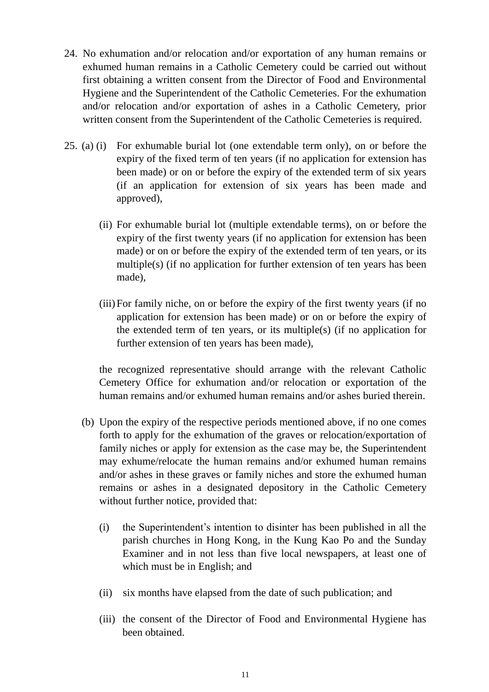- 24. No exhumation and/or relocation and/or exportation of any human remains or exhumed human remains in a Catholic Cemetery could be carried out without first obtaining a written consent from the Director of Food and Environmental Hygiene and the Superintendent of the Catholic Cemeteries. For the exhumation and/or relocation and/or exportation of ashes in a Catholic Cemetery, prior written consent from the Superintendent of the Catholic Cemeteries is required.
- 25. (a) (i) For exhumable burial lot (one extendable term only), on or before the expiry of the fixed term of ten years (if no application for extension has been made) or on or before the expiry of the extended term of six years (if an application for extension of six years has been made and approved),
	- (ii) For exhumable burial lot (multiple extendable terms), on or before the expiry of the first twenty years (if no application for extension has been made) or on or before the expiry of the extended term of ten years, or its multiple(s) (if no application for further extension of ten years has been made),
	- (iii)For family niche, on or before the expiry of the first twenty years (if no application for extension has been made) or on or before the expiry of the extended term of ten years, or its multiple(s) (if no application for further extension of ten years has been made),

the recognized representative should arrange with the relevant Catholic Cemetery Office for exhumation and/or relocation or exportation of the human remains and/or exhumed human remains and/or ashes buried therein.

- (b) Upon the expiry of the respective periods mentioned above, if no one comes forth to apply for the exhumation of the graves or relocation/exportation of family niches or apply for extension as the case may be, the Superintendent may exhume/relocate the human remains and/or exhumed human remains and/or ashes in these graves or family niches and store the exhumed human remains or ashes in a designated depository in the Catholic Cemetery without further notice, provided that:
	- (i) the Superintendent's intention to disinter has been published in all the parish churches in Hong Kong, in the Kung Kao Po and the Sunday Examiner and in not less than five local newspapers, at least one of which must be in English; and
	- (ii) six months have elapsed from the date of such publication; and
	- (iii) the consent of the Director of Food and Environmental Hygiene has been obtained.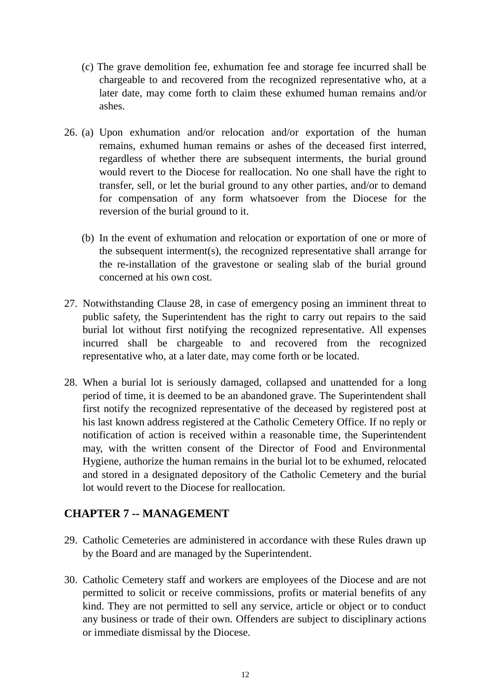- (c) The grave demolition fee, exhumation fee and storage fee incurred shall be chargeable to and recovered from the recognized representative who, at a later date, may come forth to claim these exhumed human remains and/or ashes.
- 26. (a) Upon exhumation and/or relocation and/or exportation of the human remains, exhumed human remains or ashes of the deceased first interred, regardless of whether there are subsequent interments, the burial ground would revert to the Diocese for reallocation. No one shall have the right to transfer, sell, or let the burial ground to any other parties, and/or to demand for compensation of any form whatsoever from the Diocese for the reversion of the burial ground to it.
	- (b) In the event of exhumation and relocation or exportation of one or more of the subsequent interment(s), the recognized representative shall arrange for the re-installation of the gravestone or sealing slab of the burial ground concerned at his own cost.
- 27. Notwithstanding Clause 28, in case of emergency posing an imminent threat to public safety, the Superintendent has the right to carry out repairs to the said burial lot without first notifying the recognized representative. All expenses incurred shall be chargeable to and recovered from the recognized representative who, at a later date, may come forth or be located.
- 28. When a burial lot is seriously damaged, collapsed and unattended for a long period of time, it is deemed to be an abandoned grave. The Superintendent shall first notify the recognized representative of the deceased by registered post at his last known address registered at the Catholic Cemetery Office. If no reply or notification of action is received within a reasonable time, the Superintendent may, with the written consent of the Director of Food and Environmental Hygiene, authorize the human remains in the burial lot to be exhumed, relocated and stored in a designated depository of the Catholic Cemetery and the burial lot would revert to the Diocese for reallocation.

### **CHAPTER 7 -- MANAGEMENT**

- 29. Catholic Cemeteries are administered in accordance with these Rules drawn up by the Board and are managed by the Superintendent.
- 30. Catholic Cemetery staff and workers are employees of the Diocese and are not permitted to solicit or receive commissions, profits or material benefits of any kind. They are not permitted to sell any service, article or object or to conduct any business or trade of their own. Offenders are subject to disciplinary actions or immediate dismissal by the Diocese.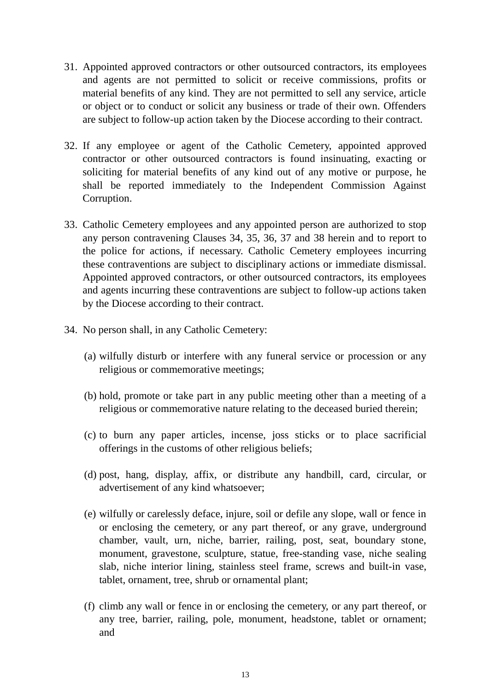- 31. Appointed approved contractors or other outsourced contractors, its employees and agents are not permitted to solicit or receive commissions, profits or material benefits of any kind. They are not permitted to sell any service, article or object or to conduct or solicit any business or trade of their own. Offenders are subject to follow-up action taken by the Diocese according to their contract.
- 32. If any employee or agent of the Catholic Cemetery, appointed approved contractor or other outsourced contractors is found insinuating, exacting or soliciting for material benefits of any kind out of any motive or purpose, he shall be reported immediately to the Independent Commission Against Corruption.
- 33. Catholic Cemetery employees and any appointed person are authorized to stop any person contravening Clauses 34, 35, 36, 37 and 38 herein and to report to the police for actions, if necessary. Catholic Cemetery employees incurring these contraventions are subject to disciplinary actions or immediate dismissal. Appointed approved contractors, or other outsourced contractors, its employees and agents incurring these contraventions are subject to follow-up actions taken by the Diocese according to their contract.
- 34. No person shall, in any Catholic Cemetery:
	- (a) wilfully disturb or interfere with any funeral service or procession or any religious or commemorative meetings;
	- (b) hold, promote or take part in any public meeting other than a meeting of a religious or commemorative nature relating to the deceased buried therein;
	- (c) to burn any paper articles, incense, joss sticks or to place sacrificial offerings in the customs of other religious beliefs;
	- (d) post, hang, display, affix, or distribute any handbill, card, circular, or advertisement of any kind whatsoever;
	- (e) wilfully or carelessly deface, injure, soil or defile any slope, wall or fence in or enclosing the cemetery, or any part thereof, or any grave, underground chamber, vault, urn, niche, barrier, railing, post, seat, boundary stone, monument, gravestone, sculpture, statue, free-standing vase, niche sealing slab, niche interior lining, stainless steel frame, screws and built-in vase, tablet, ornament, tree, shrub or ornamental plant;
	- (f) climb any wall or fence in or enclosing the cemetery, or any part thereof, or any tree, barrier, railing, pole, monument, headstone, tablet or ornament; and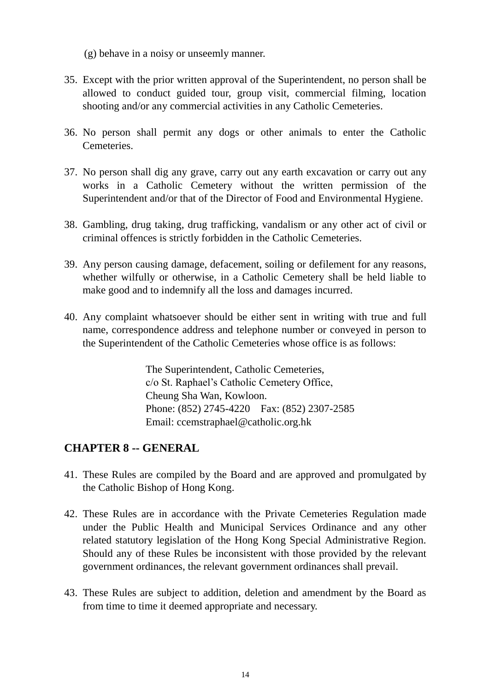(g) behave in a noisy or unseemly manner.

- 35. Except with the prior written approval of the Superintendent, no person shall be allowed to conduct guided tour, group visit, commercial filming, location shooting and/or any commercial activities in any Catholic Cemeteries.
- 36. No person shall permit any dogs or other animals to enter the Catholic Cemeteries.
- 37. No person shall dig any grave, carry out any earth excavation or carry out any works in a Catholic Cemetery without the written permission of the Superintendent and/or that of the Director of Food and Environmental Hygiene.
- 38. Gambling, drug taking, drug trafficking, vandalism or any other act of civil or criminal offences is strictly forbidden in the Catholic Cemeteries.
- 39. Any person causing damage, defacement, soiling or defilement for any reasons, whether wilfully or otherwise, in a Catholic Cemetery shall be held liable to make good and to indemnify all the loss and damages incurred.
- 40. Any complaint whatsoever should be either sent in writing with true and full name, correspondence address and telephone number or conveyed in person to the Superintendent of the Catholic Cemeteries whose office is as follows:

The Superintendent, Catholic Cemeteries, c/o St. Raphael's Catholic Cemetery Office, Cheung Sha Wan, Kowloon. Phone: (852) 2745-4220 Fax: (852) 2307-2585 Email: ccemstraphael@catholic.org.hk

# **CHAPTER 8 -- GENERAL**

- 41. These Rules are compiled by the Board and are approved and promulgated by the Catholic Bishop of Hong Kong.
- 42. These Rules are in accordance with the Private Cemeteries Regulation made under the Public Health and Municipal Services Ordinance and any other related statutory legislation of the Hong Kong Special Administrative Region. Should any of these Rules be inconsistent with those provided by the relevant government ordinances, the relevant government ordinances shall prevail.
- 43. These Rules are subject to addition, deletion and amendment by the Board as from time to time it deemed appropriate and necessary.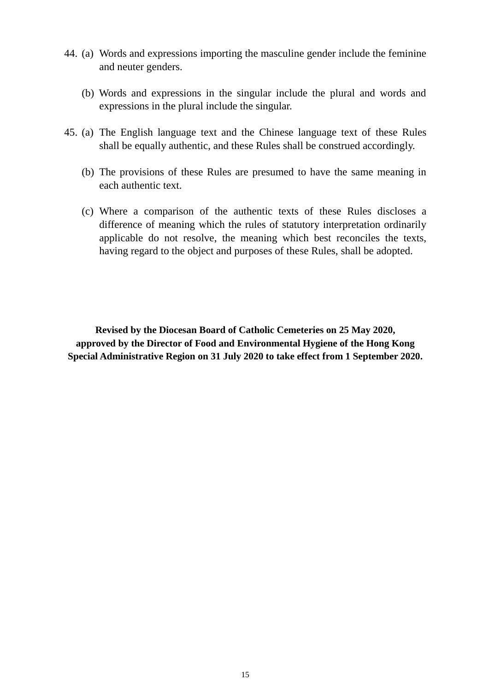- 44. (a) Words and expressions importing the masculine gender include the feminine and neuter genders.
	- (b) Words and expressions in the singular include the plural and words and expressions in the plural include the singular.
- 45. (a) The English language text and the Chinese language text of these Rules shall be equally authentic, and these Rules shall be construed accordingly.
	- (b) The provisions of these Rules are presumed to have the same meaning in each authentic text.
	- (c) Where a comparison of the authentic texts of these Rules discloses a difference of meaning which the rules of statutory interpretation ordinarily applicable do not resolve, the meaning which best reconciles the texts, having regard to the object and purposes of these Rules, shall be adopted.

**Revised by the Diocesan Board of Catholic Cemeteries on 25 May 2020, approved by the Director of Food and Environmental Hygiene of the Hong Kong Special Administrative Region on 31 July 2020 to take effect from 1 September 2020.**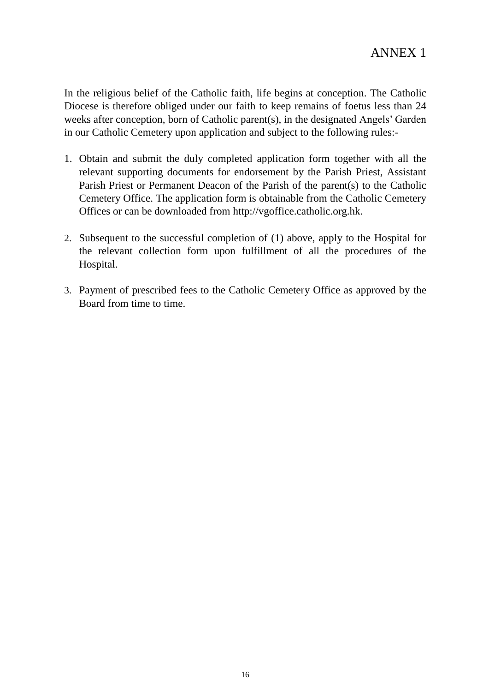In the religious belief of the Catholic faith, life begins at conception. The Catholic Diocese is therefore obliged under our faith to keep remains of foetus less than 24 weeks after conception, born of Catholic parent(s), in the designated Angels' Garden in our Catholic Cemetery upon application and subject to the following rules:-

- 1. Obtain and submit the duly completed application form together with all the relevant supporting documents for endorsement by the Parish Priest, Assistant Parish Priest or Permanent Deacon of the Parish of the parent(s) to the Catholic Cemetery Office. The application form is obtainable from the Catholic Cemetery Offices or can be downloaded from http://vgoffice.catholic.org.hk.
- 2. Subsequent to the successful completion of (1) above, apply to the Hospital for the relevant collection form upon fulfillment of all the procedures of the Hospital.
- 3. Payment of prescribed fees to the Catholic Cemetery Office as approved by the Board from time to time.